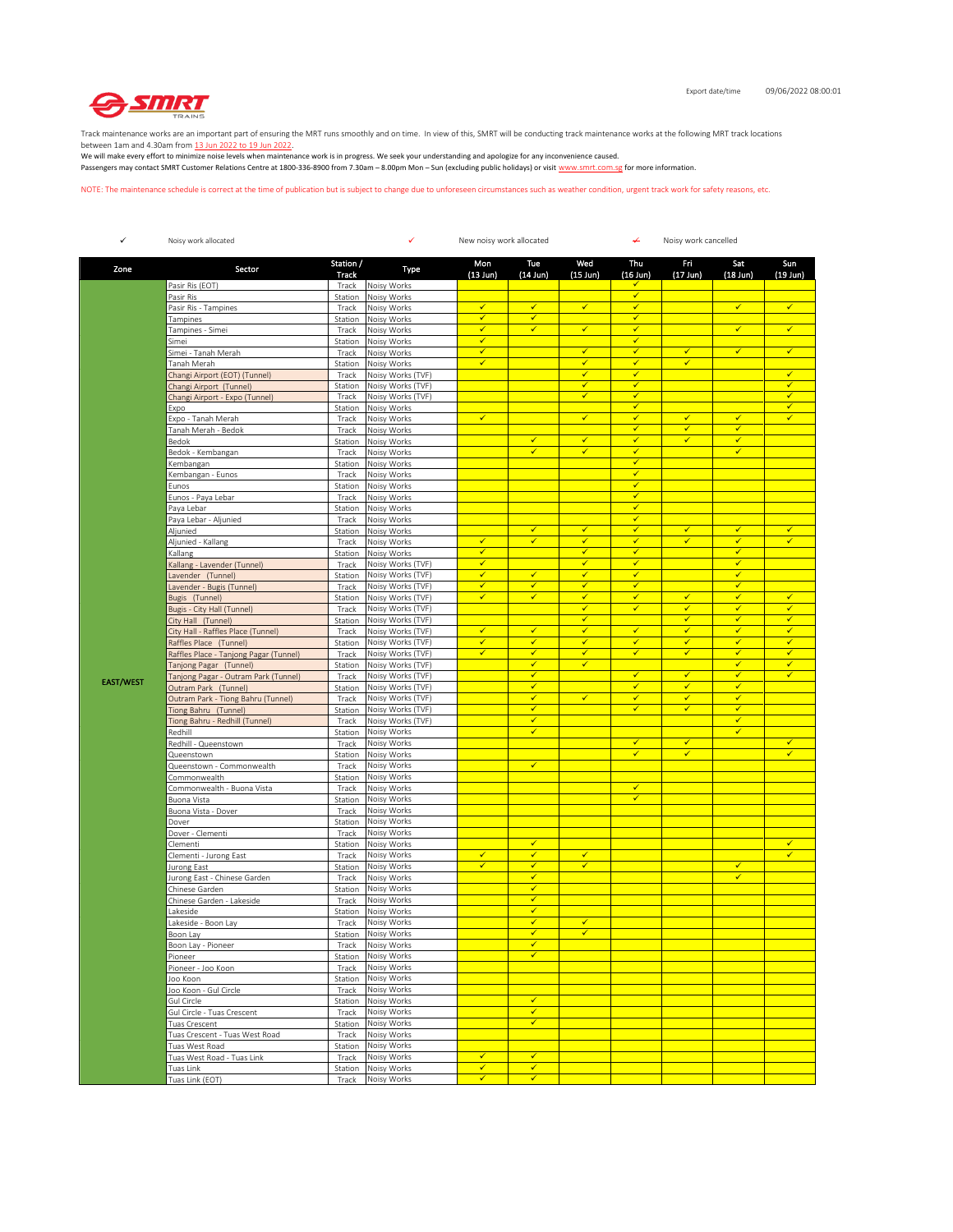

Track maintenance works are an important part of ensuring the MRT runs smoothly and on time. In view of this, SMRT will be conducting track maintenance works at the following MRT track locations

between 1am and 4.30am from <u>13 Jun 2022 to 19 Jun 2022</u>.<br>We will make every effort to minimize noise levels when maintenance work is in progress. We seek your understanding and apologize for any inconvenience caused. Passengers may contact SMRT Customer Relations Centre at 1800-336-8900 from 7.30am – 8.00pm Mon – Sun (excluding public holidays) or visit www.smrt.com.sg for more information.

NOTE: The maintenance schedule is correct at the time of publication but is subject to change due to unforeseen circumstances such as weather condition, urgent track work for safety reasons, etc.

| $\checkmark$     | Noisy work allocated                                       |                           | ✓<br>New noisy work allocated          |                              |                              |                                         |                              | ↵<br>Noisy work cancelled    |                              |                                          |  |
|------------------|------------------------------------------------------------|---------------------------|----------------------------------------|------------------------------|------------------------------|-----------------------------------------|------------------------------|------------------------------|------------------------------|------------------------------------------|--|
| Zone             | Sector                                                     | Station /<br><b>Track</b> | Type                                   | Mon<br>$(13$ Jun $)$         | Tue<br>$(14$ Jun)            | Wed<br>$(15$ Jun)                       | Thu<br>$(16$ Jun)            | Fri<br>$(17$ Jun)            | Sat<br>$(18$ Jun)            | Sun<br>$(19 \text{ Jun})$                |  |
|                  | Pasir Ris (EOT)                                            | Track                     | Noisy Works                            |                              |                              |                                         | ✔                            |                              |                              |                                          |  |
|                  | Pasir Ris                                                  | Station                   | Noisy Works                            |                              |                              |                                         | $\checkmark$                 |                              |                              |                                          |  |
|                  | Pasir Ris - Tampines<br>Tampines                           | Track<br>Station          | Noisy Works<br>Noisy Works             | $\checkmark$<br>$\checkmark$ | $\checkmark$<br>$\checkmark$ | $\checkmark$                            | $\checkmark$<br>$\checkmark$ |                              | $\checkmark$                 | $\checkmark$                             |  |
|                  | Tampines - Simei                                           | Track                     | Noisy Works                            | $\checkmark$                 | $\checkmark$                 | $\checkmark$                            | $\checkmark$                 |                              | $\checkmark$                 | $\checkmark$                             |  |
|                  | Simei                                                      | Station                   | Noisy Works                            | $\checkmark$                 |                              |                                         | $\checkmark$                 |                              |                              |                                          |  |
|                  | Simei - Tanah Merah                                        | Track                     | Noisy Works                            | $\overline{\checkmark}$      |                              | $\checkmark$                            | $\checkmark$                 | $\overline{\checkmark}$      | $\checkmark$                 | $\checkmark$                             |  |
|                  | Tanah Merah                                                | Station                   | Noisy Works                            | $\checkmark$                 |                              | $\checkmark$                            | $\checkmark$                 | ✓                            |                              |                                          |  |
|                  | Changi Airport (EOT) (Tunnel)                              | Track                     | Noisy Works (TVF)                      |                              |                              | $\checkmark$<br>✔                       | $\checkmark$<br>$\checkmark$ |                              |                              | $\checkmark$<br>$\overline{\mathscr{L}}$ |  |
|                  | Changi Airport (Tunnel)<br>Changi Airport - Expo (Tunnel)  | Station<br>Track          | Noisy Works (TVF)<br>Noisy Works (TVF) |                              |                              | $\checkmark$                            | $\checkmark$                 |                              |                              |                                          |  |
|                  | Expo                                                       | Station                   | Noisy Works                            |                              |                              |                                         | $\checkmark$                 |                              |                              | ✓                                        |  |
|                  | Expo - Tanah Merah                                         | Track                     | Noisy Works                            | $\checkmark$                 |                              | $\checkmark$                            | $\checkmark$                 | $\checkmark$                 | $\checkmark$                 | $\checkmark$                             |  |
|                  | Tanah Merah - Bedok                                        | Track                     | Noisy Works                            |                              |                              |                                         | $\checkmark$                 | ✓                            | $\checkmark$                 |                                          |  |
|                  | Bedok                                                      | Station                   | Noisy Works                            |                              | $\checkmark$<br>$\checkmark$ | $\checkmark$<br>$\checkmark$            | $\checkmark$<br>$\checkmark$ | $\checkmark$                 | $\checkmark$<br>$\checkmark$ |                                          |  |
|                  | Bedok - Kembangan<br>Kembangan                             | Track<br>Station          | Noisy Works<br>Noisy Works             |                              |                              |                                         | $\checkmark$                 |                              |                              |                                          |  |
|                  | Kembangan - Eunos                                          | Track                     | Noisy Works                            |                              |                              |                                         | $\checkmark$                 |                              |                              |                                          |  |
|                  | Eunos                                                      | Station                   | Noisy Works                            |                              |                              |                                         | $\checkmark$                 |                              |                              |                                          |  |
|                  | Eunos - Paya Lebar                                         | Track                     | Noisy Works                            |                              |                              |                                         | $\checkmark$                 |                              |                              |                                          |  |
|                  | Paya Lebar                                                 | Station                   | Noisy Works                            |                              |                              |                                         | $\checkmark$                 |                              |                              |                                          |  |
|                  | Paya Lebar - Aljunied                                      | Track                     | Noisy Works                            |                              |                              | $\checkmark$                            | $\checkmark$<br>$\checkmark$ |                              |                              |                                          |  |
|                  | Aljunied<br>Aljunied - Kallang                             | Station<br>Track          | Noisy Works<br>Noisy Works             | ✔                            | $\checkmark$<br>$\checkmark$ | ✓                                       | $\checkmark$                 | $\checkmark$<br>✓            | $\checkmark$<br>✓            | $\checkmark$<br>√                        |  |
|                  | Kallang                                                    | Station                   | Noisy Works                            | $\checkmark$                 |                              | $\overline{\checkmark}$                 | $\checkmark$                 |                              | $\checkmark$                 |                                          |  |
|                  | Kallang - Lavender (Tunnel)                                | Track                     | Noisy Works (TVF)                      | $\checkmark$                 |                              | $\checkmark$                            | $\checkmark$                 |                              | $\checkmark$                 |                                          |  |
|                  | Lavender (Tunnel)                                          | Station                   | Noisy Works (TVF)                      | $\checkmark$                 | $\checkmark$                 | $\checkmark$                            | $\checkmark$                 |                              | $\checkmark$                 |                                          |  |
|                  | Lavender - Bugis (Tunnel)                                  | Track                     | Noisy Works (TVF)                      | $\checkmark$                 | $\checkmark$                 | $\checkmark$                            | $\checkmark$                 |                              | $\checkmark$                 |                                          |  |
|                  | Bugis (Tunnel)                                             | Station                   | Noisy Works (TVF)                      | ✓                            | $\checkmark$                 | $\checkmark$<br>$\overline{\checkmark}$ | $\checkmark$<br>$\checkmark$ | ✓<br>$\checkmark$            | $\checkmark$<br>$\checkmark$ | ✓<br>$\checkmark$                        |  |
|                  | Bugis - City Hall (Tunnel)<br>City Hall (Tunnel)           | Track<br>Station          | Noisy Works (TVF)<br>Noisy Works (TVF) |                              |                              | $\checkmark$                            |                              | ✓                            | $\checkmark$                 | $\checkmark$                             |  |
|                  | City Hall - Raffles Place (Tunnel)                         | Track                     | Noisy Works (TVF)                      | $\checkmark$                 | $\checkmark$                 | $\checkmark$                            | $\checkmark$                 | $\checkmark$                 | $\checkmark$                 | $\checkmark$                             |  |
|                  | Raffles Place (Tunnel)                                     | Station                   | Noisy Works (TVF)                      | $\checkmark$                 | $\checkmark$                 | $\checkmark$                            | $\checkmark$                 | ✓                            | $\checkmark$                 | $\checkmark$                             |  |
|                  | Raffles Place - Tanjong Pagar (Tunnel)                     | Track                     | Noisy Works (TVF)                      | ✓                            | $\checkmark$                 | $\checkmark$                            | $\checkmark$                 | ✓                            | $\checkmark$                 | ✓                                        |  |
|                  | Tanjong Pagar (Tunnel)                                     | Station                   | Noisy Works (TVF)                      |                              | $\checkmark$                 | $\checkmark$                            |                              |                              | $\checkmark$                 | $\checkmark$                             |  |
| <b>EAST/WEST</b> | Tanjong Pagar - Outram Park (Tunnel)                       | Track                     | Noisy Works (TVF)                      |                              | $\checkmark$<br>$\checkmark$ |                                         | $\checkmark$<br>$\checkmark$ | $\checkmark$<br>$\checkmark$ | $\checkmark$<br>$\checkmark$ | $\checkmark$                             |  |
|                  | Outram Park (Tunnel)<br>Outram Park - Tiong Bahru (Tunnel) | Station<br>Track          | Noisy Works (TVF)<br>Noisy Works (TVF) |                              | $\checkmark$                 | $\checkmark$                            | $\checkmark$                 | $\checkmark$                 | $\checkmark$                 |                                          |  |
|                  | Tiong Bahru (Tunnel)                                       | Station                   | Noisy Works (TVF)                      |                              | $\checkmark$                 |                                         | $\checkmark$                 | ✓                            | ✓                            |                                          |  |
|                  | Tiong Bahru - Redhill (Tunnel)                             | Track                     | Noisy Works (TVF)                      |                              | $\checkmark$                 |                                         |                              |                              | $\checkmark$                 |                                          |  |
|                  | Redhill                                                    | Station                   | Noisy Works                            |                              | $\checkmark$                 |                                         |                              |                              | $\checkmark$                 |                                          |  |
|                  | Redhill - Queenstown                                       | Track                     | Noisy Works                            |                              |                              |                                         | $\checkmark$<br>$\checkmark$ | $\checkmark$<br>$\checkmark$ |                              | $\checkmark$<br>$\checkmark$             |  |
|                  | Queenstown<br>Queenstown - Commonwealth                    | Station<br>Track          | Noisy Works<br>Noisy Works             |                              | ✓                            |                                         |                              |                              |                              |                                          |  |
|                  | Commonwealth                                               | Station                   | Noisy Works                            |                              |                              |                                         |                              |                              |                              |                                          |  |
|                  | Commonwealth - Buona Vista                                 | Track                     | Noisy Works                            |                              |                              |                                         | $\checkmark$                 |                              |                              |                                          |  |
|                  | Buona Vista                                                | Station                   | Noisy Works                            |                              |                              |                                         | $\checkmark$                 |                              |                              |                                          |  |
|                  | Buona Vista - Dover                                        | Track                     | Noisy Works                            |                              |                              |                                         |                              |                              |                              |                                          |  |
|                  | Dover<br>Dover - Clementi                                  | Station<br>Track          | Noisy Works<br>Noisy Works             |                              |                              |                                         |                              |                              |                              |                                          |  |
|                  | Clementi                                                   | Station                   | Noisy Works                            |                              | $\checkmark$                 |                                         |                              |                              |                              | $\checkmark$                             |  |
|                  | Clementi - Jurong East                                     | Track                     | Noisy Works                            | $\checkmark$                 | $\checkmark$                 | $\checkmark$                            |                              |                              |                              | $\checkmark$                             |  |
|                  | Jurong East                                                | Station                   | Noisy Works                            | $\checkmark$                 | $\checkmark$                 | $\checkmark$                            |                              |                              | $\checkmark$                 |                                          |  |
|                  | Jurong East - Chinese Garden                               | Track                     | Noisy Works                            |                              | ✔<br>$\checkmark$            |                                         |                              |                              | $\checkmark$                 |                                          |  |
|                  | Chinese Garden<br>Chinese Garden - Lakeside                | Station<br>Track          | Noisy Works<br>Noisy Works             |                              | $\checkmark$                 |                                         |                              |                              |                              |                                          |  |
|                  | akeside                                                    | Station                   | Noisy Works                            |                              | $\checkmark$                 |                                         |                              |                              |                              |                                          |  |
|                  | Lakeside - Boon Lay                                        | Track                     | Noisy Works                            |                              | $\checkmark$                 | $\checkmark$                            |                              |                              |                              |                                          |  |
|                  | Boon Lay                                                   |                           | Station Noisy Works                    |                              | √                            |                                         |                              |                              |                              |                                          |  |
|                  | Boon Lay - Pioneer                                         | Track                     | Noisy Works                            |                              | $\checkmark$<br>$\checkmark$ |                                         |                              |                              |                              |                                          |  |
|                  | Pioneer<br>Pioneer - Joo Koon                              | Station<br>Track          | Noisy Works<br>Noisy Works             |                              |                              |                                         |                              |                              |                              |                                          |  |
|                  | Joo Koon                                                   | Station                   | Noisy Works                            |                              |                              |                                         |                              |                              |                              |                                          |  |
|                  | Joo Koon - Gul Circle                                      | Track                     | Noisy Works                            |                              |                              |                                         |                              |                              |                              |                                          |  |
|                  | Gul Circle                                                 | Station                   | Noisy Works                            |                              | $\checkmark$                 |                                         |                              |                              |                              |                                          |  |
|                  | Gul Circle - Tuas Crescent                                 | Track                     | Noisy Works                            |                              | $\checkmark$                 |                                         |                              |                              |                              |                                          |  |
|                  | Tuas Crescent                                              | Station                   | Noisy Works                            |                              | $\checkmark$                 |                                         |                              |                              |                              |                                          |  |
|                  | Tuas Crescent - Tuas West Road<br>Tuas West Road           | Track                     | Noisy Works<br>Noisy Works             |                              |                              |                                         |                              |                              |                              |                                          |  |
|                  | Tuas West Road - Tuas Link                                 | Station<br>Track          | Noisy Works                            | $\checkmark$                 | $\checkmark$                 |                                         |                              |                              |                              |                                          |  |
|                  | Tuas Link                                                  | Station                   | Noisy Works                            | $\checkmark$                 | $\checkmark$                 |                                         |                              |                              |                              |                                          |  |
|                  | Tuas Link (EOT)                                            | Track                     | Noisy Works                            | $\checkmark$                 | $\checkmark$                 |                                         |                              |                              |                              |                                          |  |